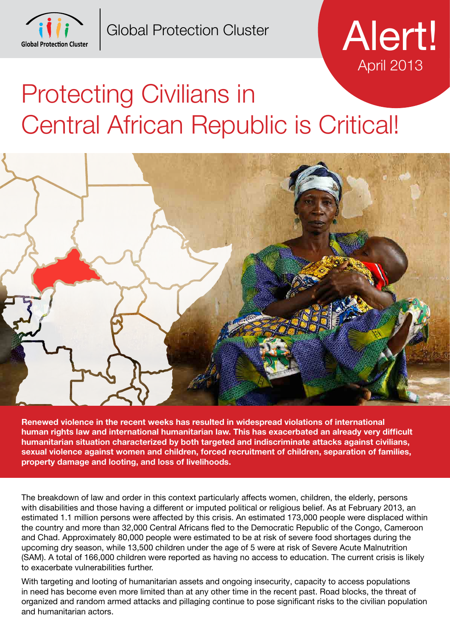

Global Protection Cluster

## Alert! April 2013

## Protecting Civilians in Central African Republic is Critical!



**Renewed violence in the recent weeks has resulted in widespread violations of international human rights law and international humanitarian law. This has exacerbated an already very difficult humanitarian situation characterized by both targeted and indiscriminate attacks against civilians, sexual violence against women and children, forced recruitment of children, separation of families, property damage and looting, and loss of livelihoods.** 

The breakdown of law and order in this context particularly affects women, children, the elderly, persons with disabilities and those having a different or imputed political or religious belief. As at February 2013, an estimated 1.1 million persons were affected by this crisis. An estimated 173,000 people were displaced within the country and more than 32,000 Central Africans fled to the Democratic Republic of the Congo, Cameroon and Chad. Approximately 80,000 people were estimated to be at risk of severe food shortages during the upcoming dry season, while 13,500 children under the age of 5 were at risk of Severe Acute Malnutrition (SAM). A total of 166,000 children were reported as having no access to education. The current crisis is likely to exacerbate vulnerabilities further.

With targeting and looting of humanitarian assets and ongoing insecurity, capacity to access populations in need has become even more limited than at any other time in the recent past. Road blocks, the threat of organized and random armed attacks and pillaging continue to pose significant risks to the civilian population and humanitarian actors.